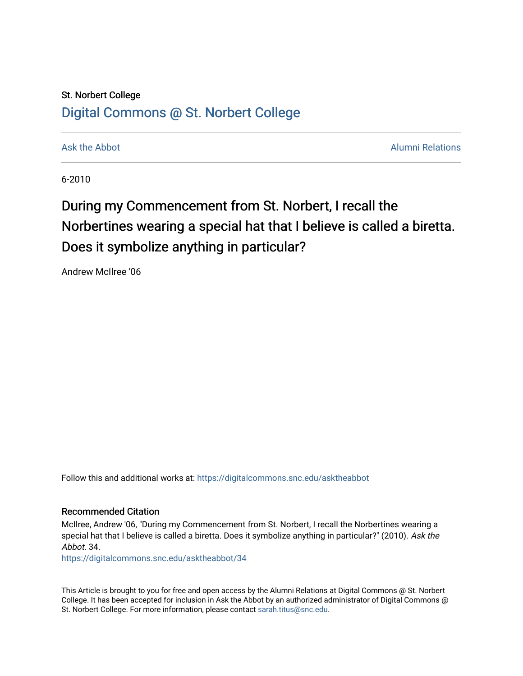### St. Norbert College [Digital Commons @ St. Norbert College](https://digitalcommons.snc.edu/)

[Ask the Abbot](https://digitalcommons.snc.edu/asktheabbot) **Alumni Relations** and [Alumni Relations](https://digitalcommons.snc.edu/alumni) **Alumni Relations** 

6-2010

## During my Commencement from St. Norbert, I recall the Norbertines wearing a special hat that I believe is called a biretta. Does it symbolize anything in particular?

Andrew McIlree '06

Follow this and additional works at: [https://digitalcommons.snc.edu/asktheabbot](https://digitalcommons.snc.edu/asktheabbot?utm_source=digitalcommons.snc.edu%2Fasktheabbot%2F34&utm_medium=PDF&utm_campaign=PDFCoverPages)

#### Recommended Citation

McIlree, Andrew '06, "During my Commencement from St. Norbert, I recall the Norbertines wearing a special hat that I believe is called a biretta. Does it symbolize anything in particular?" (2010). Ask the Abbot. 34.

[https://digitalcommons.snc.edu/asktheabbot/34](https://digitalcommons.snc.edu/asktheabbot/34?utm_source=digitalcommons.snc.edu%2Fasktheabbot%2F34&utm_medium=PDF&utm_campaign=PDFCoverPages) 

This Article is brought to you for free and open access by the Alumni Relations at Digital Commons @ St. Norbert College. It has been accepted for inclusion in Ask the Abbot by an authorized administrator of Digital Commons @ St. Norbert College. For more information, please contact [sarah.titus@snc.edu.](mailto:sarah.titus@snc.edu)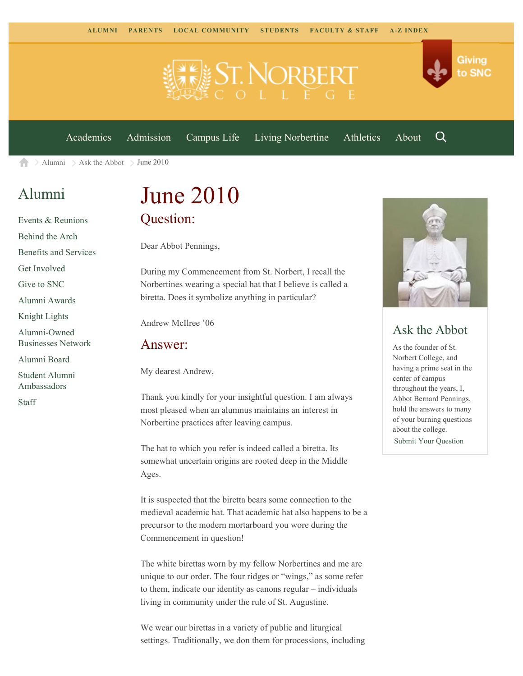

[Academics](https://www.snc.edu/academics) [Admission](https://www.snc.edu/admission) [Campus Life](https://www.snc.edu/campuslife) [Living Norbertine](https://www.snc.edu/livingnorbertine) [Athletics](https://www.snc.edu/athletics) [About](https://www.snc.edu/about)

Q

Giving

to SNC

 $\geq$  [Alumni](https://www.snc.edu/alumni/)  $\geq$  [Ask the Abbot](https://www.snc.edu/alumni/abbot/)  $\geq$  June 2010 A

## [Alumni](https://www.snc.edu/alumni/index.html)

[Events & Reunions](https://www.snc.edu/alumni/event/index.html) [Behind the Arch](https://www.snc.edu/alumni/event/behindthearch/) [Benefits and Services](https://www.snc.edu/alumni/benefits.html) [Get Involved](https://www.snc.edu/alumni/getinvolved.html) [Give to SNC](http://giving.snc.edu/) [Alumni Awards](https://www.snc.edu/alumni/awards/index.html) [Knight Lights](https://www.snc.edu/alumni/knightlights/index.html) [Alumni-Owned](https://www.snc.edu/alumni/directory/index.html) [Businesses Network](https://www.snc.edu/alumni/directory/index.html) [Alumni Board](https://www.snc.edu/alumni/alumniboard.html) [Student Alumni](https://www.snc.edu/alumni/saa.html) [Ambassadors](https://www.snc.edu/alumni/saa.html) [Staff](https://www.snc.edu/alumni/contactus.html)

# June 2010 Question:

Dear Abbot Pennings,

During my Commencement from St. Norbert, I recall the Norbertines wearing a special hat that I believe is called a biretta. Does it symbolize anything in particular?

Andrew McIlree '06

#### Answer:

My dearest Andrew,

Thank you kindly for your insightful question. I am always most pleased when an alumnus maintains an interest in Norbertine practices after leaving campus.

The hat to which you refer is indeed called a biretta. Its somewhat uncertain origins are rooted deep in the Middle Ages.

It is suspected that the biretta bears some connection to the medieval academic hat. That academic hat also happens to be a precursor to the modern mortarboard you wore during the Commencement in question!

The white birettas worn by my fellow Norbertines and me are unique to our order. The four ridges or "wings," as some refer to them, indicate our identity as canons regular – individuals living in community under the rule of St. Augustine.

We wear our birettas in a variety of public and liturgical settings. Traditionally, we don them for processions, including



### Ask the Abbot

As the founder of St. Norbert College, and having a prime seat in the center of campus throughout the years, I, Abbot Bernard Pennings, hold the answers to many of your burning questions about the college. [Submit Your Question](https://www.snc.edu/alumni/abbot/index.html)